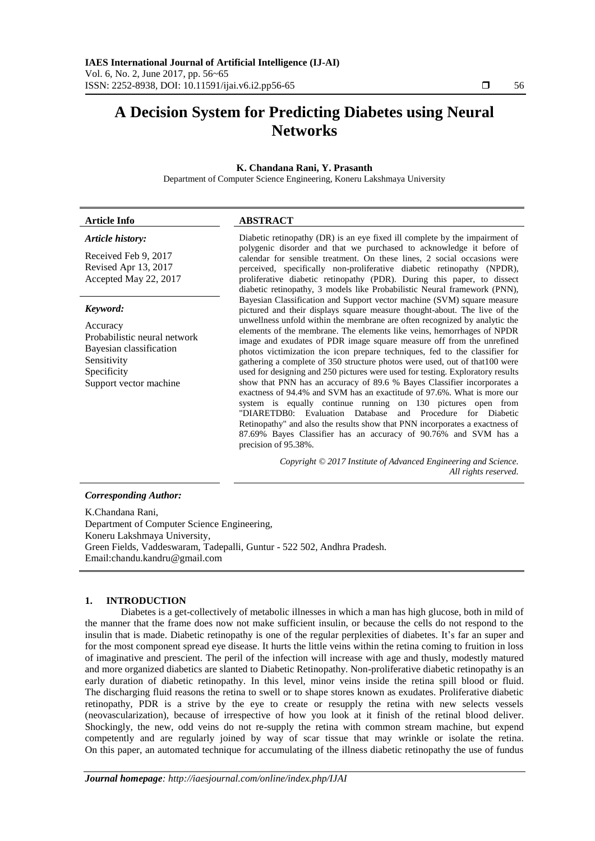# **A Decision System for Predicting Diabetes using Neural Networks**

#### **K. Chandana Rani, Y. Prasanth**

Department of Computer Science Engineering, Koneru Lakshmaya University

#### **Article Info ABSTRACT**

#### *Article history:*

Received Feb 9, 2017 Revised Apr 13, 2017 Accepted May 22, 2017

#### *Keyword:*

Accuracy Probabilistic neural network Bayesian classification Sensitivity Specificity Support vector machine

Diabetic retinopathy (DR) is an eye fixed ill complete by the impairment of polygenic disorder and that we purchased to acknowledge it before of calendar for sensible treatment. On these lines, 2 social occasions were perceived, specifically non-proliferative diabetic retinopathy (NPDR), proliferative diabetic retinopathy (PDR). During this paper, to dissect diabetic retinopathy, 3 models like Probabilistic Neural framework (PNN), Bayesian Classification and Support vector machine (SVM) square measure pictured and their displays square measure thought-about. The live of the unwellness unfold within the membrane are often recognized by analytic the elements of the membrane. The elements like veins, hemorrhages of NPDR image and exudates of PDR image square measure off from the unrefined photos victimization the icon prepare techniques, fed to the classifier for gathering a complete of 350 structure photos were used, out of that100 were used for designing and 250 pictures were used for testing. Exploratory results show that PNN has an accuracy of 89.6 % Bayes Classifier incorporates a exactness of 94.4% and SVM has an exactitude of 97.6%. What is more our system is equally continue running on 130 pictures open from "DIARETDB0: Evaluation Database and Procedure for Diabetic Retinopathy" and also the results show that PNN incorporates a exactness of 87.69% Bayes Classifier has an accuracy of 90.76% and SVM has a precision of 95.38%.

> *Copyright © 2017 Institute of Advanced Engineering and Science. All rights reserved.*

#### *Corresponding Author:*

K.Chandana Rani, Department of Computer Science Engineering, Koneru Lakshmaya University, Green Fields, Vaddeswaram, Tadepalli, Guntur - 522 502, Andhra Pradesh. Email:chandu.kandru@gmail.com

#### **1. INTRODUCTION**

Diabetes is a get-collectively of metabolic illnesses in which a man has high glucose, both in mild of the manner that the frame does now not make sufficient insulin, or because the cells do not respond to the insulin that is made. Diabetic retinopathy is one of the regular perplexities of diabetes. It's far an super and for the most component spread eye disease. It hurts the little veins within the retina coming to fruition in loss of imaginative and prescient. The peril of the infection will increase with age and thusly, modestly matured and more organized diabetics are slanted to Diabetic Retinopathy. Non-proliferative diabetic retinopathy is an early duration of diabetic retinopathy. In this level, minor veins inside the retina spill blood or fluid. The discharging fluid reasons the retina to swell or to shape stores known as exudates. Proliferative diabetic retinopathy, PDR is a strive by the eye to create or resupply the retina with new selects vessels (neovascularization), because of irrespective of how you look at it finish of the retinal blood deliver. Shockingly, the new, odd veins do not re-supply the retina with common stream machine, but expend competently and are regularly joined by way of scar tissue that may wrinkle or isolate the retina. On this paper, an automated technique for accumulating of the illness diabetic retinopathy the use of fundus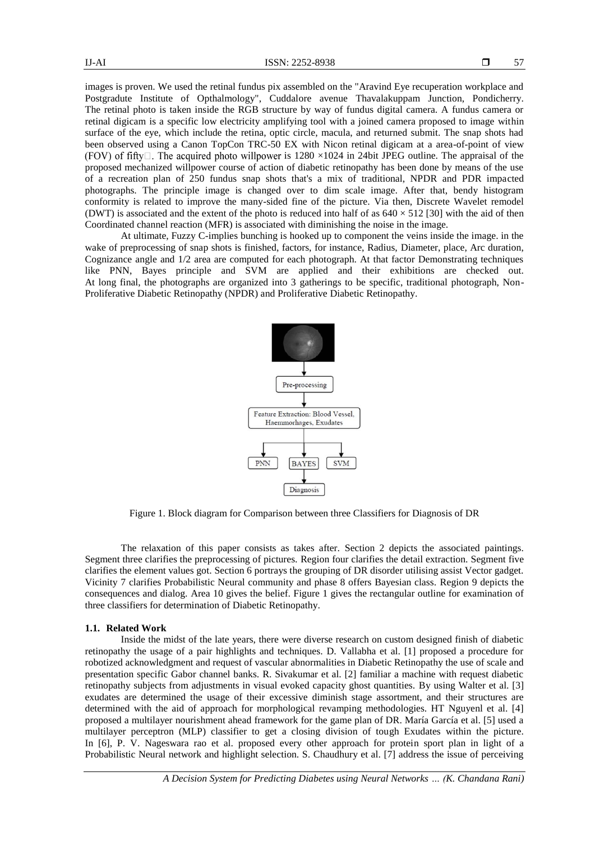images is proven. We used the retinal fundus pix assembled on the "Aravind Eye recuperation workplace and Postgradute Institute of Opthalmology", Cuddalore avenue Thavalakuppam Junction, Pondicherry. The retinal photo is taken inside the RGB structure by way of fundus digital camera. A fundus camera or retinal digicam is a specific low electricity amplifying tool with a joined camera proposed to image within surface of the eye, which include the retina, optic circle, macula, and returned submit. The snap shots had been observed using a Canon TopCon TRC-50 EX with Nicon retinal digicam at a area-of-point of view (FOV) of fifty $\Box$ . The acquired photo willpower is 1280 ×1024 in 24bit JPEG outline. The appraisal of the proposed mechanized willpower course of action of diabetic retinopathy has been done by means of the use of a recreation plan of 250 fundus snap shots that's a mix of traditional, NPDR and PDR impacted photographs. The principle image is changed over to dim scale image. After that, bendy histogram conformity is related to improve the many-sided fine of the picture. Via then, Discrete Wavelet remodel (DWT) is associated and the extent of the photo is reduced into half of as  $640 \times 512$  [30] with the aid of then Coordinated channel reaction (MFR) is associated with diminishing the noise in the image.

At ultimate, Fuzzy C-implies bunching is hooked up to component the veins inside the image. in the wake of preprocessing of snap shots is finished, factors, for instance, Radius, Diameter, place, Arc duration, Cognizance angle and 1/2 area are computed for each photograph. At that factor Demonstrating techniques like PNN, Bayes principle and SVM are applied and their exhibitions are checked out. At long final, the photographs are organized into 3 gatherings to be specific, traditional photograph, Non-Proliferative Diabetic Retinopathy (NPDR) and Proliferative Diabetic Retinopathy.



Figure 1. Block diagram for Comparison between three Classifiers for Diagnosis of DR

The relaxation of this paper consists as takes after. Section 2 depicts the associated paintings. Segment three clarifies the preprocessing of pictures. Region four clarifies the detail extraction. Segment five clarifies the element values got. Section 6 portrays the grouping of DR disorder utilising assist Vector gadget. Vicinity 7 clarifies Probabilistic Neural community and phase 8 offers Bayesian class. Region 9 depicts the consequences and dialog. Area 10 gives the belief. Figure 1 gives the rectangular outline for examination of three classifiers for determination of Diabetic Retinopathy.

#### **1.1. Related Work**

Inside the midst of the late years, there were diverse research on custom designed finish of diabetic retinopathy the usage of a pair highlights and techniques. D. Vallabha et al. [1] proposed a procedure for robotized acknowledgment and request of vascular abnormalities in Diabetic Retinopathy the use of scale and presentation specific Gabor channel banks. R. Sivakumar et al. [2] familiar a machine with request diabetic retinopathy subjects from adjustments in visual evoked capacity ghost quantities. By using Walter et al. [3] exudates are determined the usage of their excessive diminish stage assortment, and their structures are determined with the aid of approach for morphological revamping methodologies. HT Nguyenl et al. [4] proposed a multilayer nourishment ahead framework for the game plan of DR. María García et al. [5] used a multilayer perceptron (MLP) classifier to get a closing division of tough Exudates within the picture. In [6], P. V. Nageswara rao et al. proposed every other approach for protein sport plan in light of a Probabilistic Neural network and highlight selection. S. Chaudhury et al. [7] address the issue of perceiving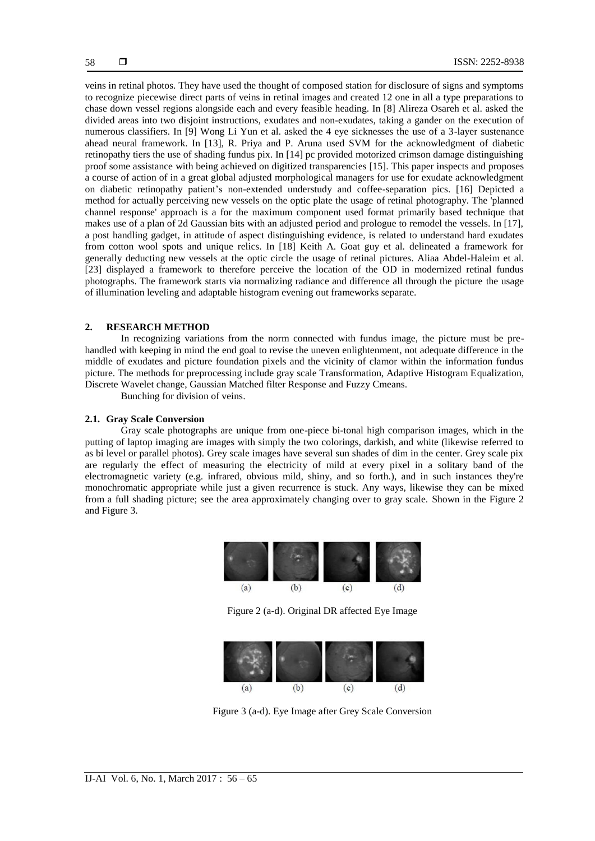veins in retinal photos. They have used the thought of composed station for disclosure of signs and symptoms to recognize piecewise direct parts of veins in retinal images and created 12 one in all a type preparations to chase down vessel regions alongside each and every feasible heading. In [8] Alireza Osareh et al. asked the divided areas into two disjoint instructions, exudates and non-exudates, taking a gander on the execution of numerous classifiers. In [9] Wong Li Yun et al. asked the 4 eye sicknesses the use of a 3-layer sustenance ahead neural framework. In [13], R. Priya and P. Aruna used SVM for the acknowledgment of diabetic retinopathy tiers the use of shading fundus pix. In [14] pc provided motorized crimson damage distinguishing proof some assistance with being achieved on digitized transparencies [15]. This paper inspects and proposes a course of action of in a great global adjusted morphological managers for use for exudate acknowledgment on diabetic retinopathy patient's non-extended understudy and coffee-separation pics. [16] Depicted a method for actually perceiving new vessels on the optic plate the usage of retinal photography. The 'planned channel response' approach is a for the maximum component used format primarily based technique that makes use of a plan of 2d Gaussian bits with an adjusted period and prologue to remodel the vessels. In [17], a post handling gadget, in attitude of aspect distinguishing evidence, is related to understand hard exudates from cotton wool spots and unique relics. In [18] Keith A. Goat guy et al. delineated a framework for generally deducting new vessels at the optic circle the usage of retinal pictures. Aliaa Abdel-Haleim et al. [23] displayed a framework to therefore perceive the location of the OD in modernized retinal fundus photographs. The framework starts via normalizing radiance and difference all through the picture the usage of illumination leveling and adaptable histogram evening out frameworks separate.

#### **2. RESEARCH METHOD**

In recognizing variations from the norm connected with fundus image, the picture must be prehandled with keeping in mind the end goal to revise the uneven enlightenment, not adequate difference in the middle of exudates and picture foundation pixels and the vicinity of clamor within the information fundus picture. The methods for preprocessing include gray scale Transformation, Adaptive Histogram Equalization, Discrete Wavelet change, Gaussian Matched filter Response and Fuzzy Cmeans.

Bunching for division of veins.

#### **2.1. Gray Scale Conversion**

Gray scale photographs are unique from one-piece bi-tonal high comparison images, which in the putting of laptop imaging are images with simply the two colorings, darkish, and white (likewise referred to as bi level or parallel photos). Grey scale images have several sun shades of dim in the center. Grey scale pix are regularly the effect of measuring the electricity of mild at every pixel in a solitary band of the electromagnetic variety (e.g. infrared, obvious mild, shiny, and so forth.), and in such instances they're monochromatic appropriate while just a given recurrence is stuck. Any ways, likewise they can be mixed from a full shading picture; see the area approximately changing over to gray scale. Shown in the Figure 2 and Figure 3.



Figure 2 (a-d). Original DR affected Eye Image



Figure 3 (a-d). Eye Image after Grey Scale Conversion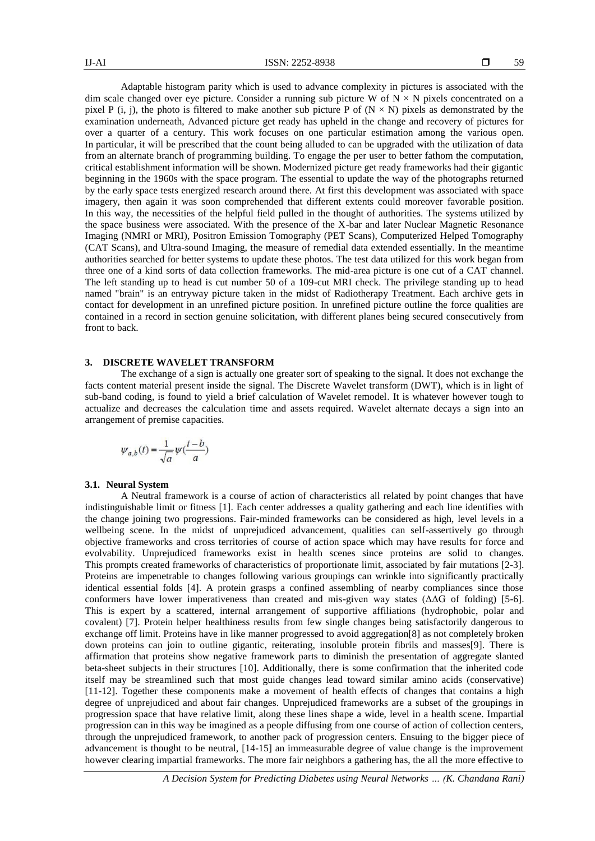Adaptable histogram parity which is used to advance complexity in pictures is associated with the dim scale changed over eye picture. Consider a running sub picture W of  $N \times N$  pixels concentrated on a pixel P (i, j), the photo is filtered to make another sub picture P of  $(N \times N)$  pixels as demonstrated by the examination underneath, Advanced picture get ready has upheld in the change and recovery of pictures for over a quarter of a century. This work focuses on one particular estimation among the various open. In particular, it will be prescribed that the count being alluded to can be upgraded with the utilization of data from an alternate branch of programming building. To engage the per user to better fathom the computation, critical establishment information will be shown. Modernized picture get ready frameworks had their gigantic beginning in the 1960s with the space program. The essential to update the way of the photographs returned by the early space tests energized research around there. At first this development was associated with space imagery, then again it was soon comprehended that different extents could moreover favorable position. In this way, the necessities of the helpful field pulled in the thought of authorities. The systems utilized by the space business were associated. With the presence of the X-bar and later Nuclear Magnetic Resonance Imaging (NMRI or MRI), Positron Emission Tomography (PET Scans), Computerized Helped Tomography (CAT Scans), and Ultra-sound Imaging, the measure of remedial data extended essentially. In the meantime authorities searched for better systems to update these photos. The test data utilized for this work began from three one of a kind sorts of data collection frameworks. The mid-area picture is one cut of a CAT channel. The left standing up to head is cut number 50 of a 109-cut MRI check. The privilege standing up to head named "brain" is an entryway picture taken in the midst of Radiotherapy Treatment. Each archive gets in contact for development in an unrefined picture position. In unrefined picture outline the force qualities are contained in a record in section genuine solicitation, with different planes being secured consecutively from front to back.

#### **3. DISCRETE WAVELET TRANSFORM**

The exchange of a sign is actually one greater sort of speaking to the signal. It does not exchange the facts content material present inside the signal. The Discrete Wavelet transform (DWT), which is in light of sub-band coding, is found to yield a brief calculation of Wavelet remodel. It is whatever however tough to actualize and decreases the calculation time and assets required. Wavelet alternate decays a sign into an arrangement of premise capacities.

$$
\psi_{a,b}(t) = \frac{1}{\sqrt{a}} \psi(\frac{t-b}{a})
$$

#### **3.1. Neural System**

A Neutral framework is a course of action of characteristics all related by point changes that have indistinguishable limit or fitness [1]. Each center addresses a quality gathering and each line identifies with the change joining two progressions. Fair-minded frameworks can be considered as high, level levels in a wellbeing scene. In the midst of unprejudiced advancement, qualities can self-assertively go through objective frameworks and cross territories of course of action space which may have results for force and evolvability. Unprejudiced frameworks exist in health scenes since proteins are solid to changes. This prompts created frameworks of characteristics of proportionate limit, associated by fair mutations [2-3]. Proteins are impenetrable to changes following various groupings can wrinkle into significantly practically identical essential folds [4]. A protein grasps a confined assembling of nearby compliances since those conformers have lower imperativeness than created and mis-given way states  $(\Delta\Delta G)$  of folding) [5-6]. This is expert by a scattered, internal arrangement of supportive affiliations (hydrophobic, polar and covalent) [7]. Protein helper healthiness results from few single changes being satisfactorily dangerous to exchange off limit. Proteins have in like manner progressed to avoid aggregation[8] as not completely broken down proteins can join to outline gigantic, reiterating, insoluble protein fibrils and masses[9]. There is affirmation that proteins show negative framework parts to diminish the presentation of aggregate slanted beta-sheet subjects in their structures [10]. Additionally, there is some confirmation that the inherited code itself may be streamlined such that most guide changes lead toward similar amino acids (conservative) [11-12]. Together these components make a movement of health effects of changes that contains a high degree of unprejudiced and about fair changes. Unprejudiced frameworks are a subset of the groupings in progression space that have relative limit, along these lines shape a wide, level in a health scene. Impartial progression can in this way be imagined as a people diffusing from one course of action of collection centers, through the unprejudiced framework, to another pack of progression centers. Ensuing to the bigger piece of advancement is thought to be neutral, [14-15] an immeasurable degree of value change is the improvement however clearing impartial frameworks. The more fair neighbors a gathering has, the all the more effective to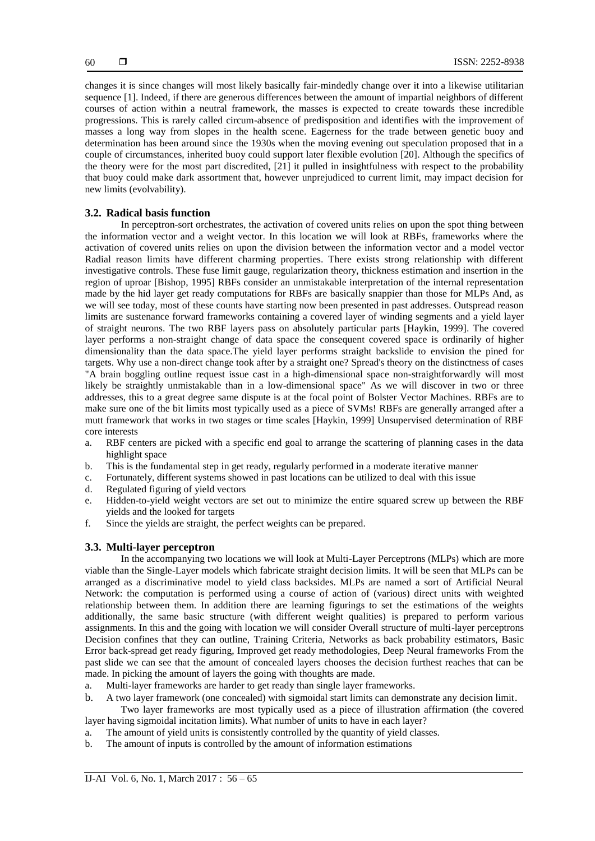changes it is since changes will most likely basically fair-mindedly change over it into a likewise utilitarian sequence [1]. Indeed, if there are generous differences between the amount of impartial neighbors of different courses of action within a neutral framework, the masses is expected to create towards these incredible progressions. This is rarely called circum-absence of predisposition and identifies with the improvement of masses a long way from slopes in the health scene. Eagerness for the trade between genetic buoy and determination has been around since the 1930s when the moving evening out speculation proposed that in a couple of circumstances, inherited buoy could support later flexible evolution [20]. Although the specifics of the theory were for the most part discredited, [21] it pulled in insightfulness with respect to the probability that buoy could make dark assortment that, however unprejudiced to current limit, may impact decision for new limits (evolvability).

#### **3.2. Radical basis function**

In perceptron-sort orchestrates, the activation of covered units relies on upon the spot thing between the information vector and a weight vector. In this location we will look at RBFs, frameworks where the activation of covered units relies on upon the division between the information vector and a model vector Radial reason limits have different charming properties. There exists strong relationship with different investigative controls. These fuse limit gauge, regularization theory, thickness estimation and insertion in the region of uproar [Bishop, 1995] RBFs consider an unmistakable interpretation of the internal representation made by the hid layer get ready computations for RBFs are basically snappier than those for MLPs And, as we will see today, most of these counts have starting now been presented in past addresses. Outspread reason limits are sustenance forward frameworks containing a covered layer of winding segments and a yield layer of straight neurons. The two RBF layers pass on absolutely particular parts [Haykin, 1999]. The covered layer performs a non-straight change of data space the consequent covered space is ordinarily of higher dimensionality than the data space.The yield layer performs straight backslide to envision the pined for targets. Why use a non-direct change took after by a straight one? Spread's theory on the distinctness of cases "A brain boggling outline request issue cast in a high-dimensional space non-straightforwardly will most likely be straightly unmistakable than in a low-dimensional space" As we will discover in two or three addresses, this to a great degree same dispute is at the focal point of Bolster Vector Machines. RBFs are to make sure one of the bit limits most typically used as a piece of SVMs! RBFs are generally arranged after a mutt framework that works in two stages or time scales [Haykin, 1999] Unsupervised determination of RBF core interests

- a. RBF centers are picked with a specific end goal to arrange the scattering of planning cases in the data highlight space
- b. This is the fundamental step in get ready, regularly performed in a moderate iterative manner
- c. Fortunately, different systems showed in past locations can be utilized to deal with this issue
- d. Regulated figuring of yield vectors
- e. Hidden-to-yield weight vectors are set out to minimize the entire squared screw up between the RBF yields and the looked for targets
- f. Since the yields are straight, the perfect weights can be prepared.

#### **3.3. Multi-layer perceptron**

In the accompanying two locations we will look at Multi-Layer Perceptrons (MLPs) which are more viable than the Single-Layer models which fabricate straight decision limits. It will be seen that MLPs can be arranged as a discriminative model to yield class backsides. MLPs are named a sort of Artificial Neural Network: the computation is performed using a course of action of (various) direct units with weighted relationship between them. In addition there are learning figurings to set the estimations of the weights additionally, the same basic structure (with different weight qualities) is prepared to perform various assignments. In this and the going with location we will consider Overall structure of multi-layer perceptrons Decision confines that they can outline, Training Criteria, Networks as back probability estimators, Basic Error back-spread get ready figuring, Improved get ready methodologies, Deep Neural frameworks From the past slide we can see that the amount of concealed layers chooses the decision furthest reaches that can be made. In picking the amount of layers the going with thoughts are made.

- a. Multi-layer frameworks are harder to get ready than single layer frameworks.
- b. A two layer framework (one concealed) with sigmoidal start limits can demonstrate any decision limit.

Two layer frameworks are most typically used as a piece of illustration affirmation (the covered layer having sigmoidal incitation limits). What number of units to have in each layer?

- a. The amount of yield units is consistently controlled by the quantity of yield classes.
- b. The amount of inputs is controlled by the amount of information estimations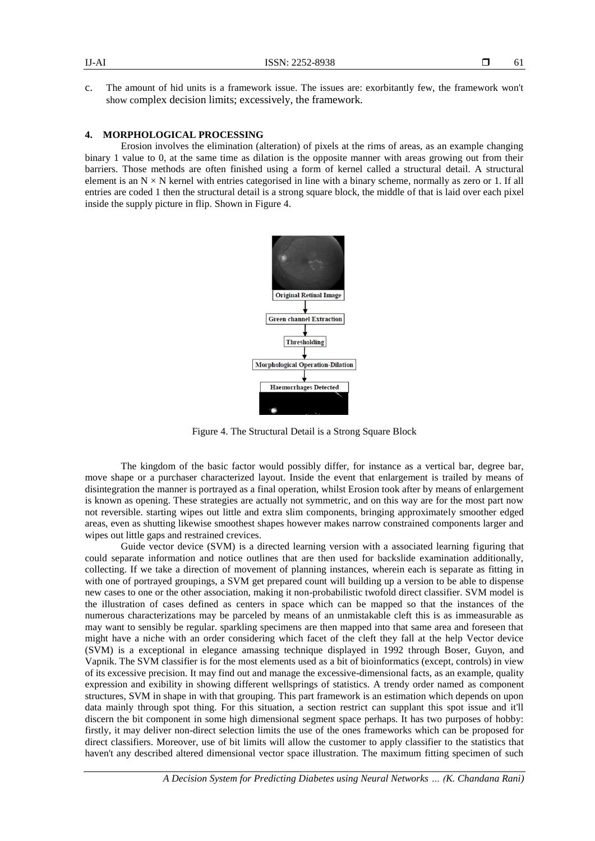c. The amount of hid units is a framework issue. The issues are: exorbitantly few, the framework won't show complex decision limits; excessively, the framework.

#### **4. MORPHOLOGICAL PROCESSING**

Erosion involves the elimination (alteration) of pixels at the rims of areas, as an example changing binary 1 value to 0, at the same time as dilation is the opposite manner with areas growing out from their barriers. Those methods are often finished using a form of kernel called a structural detail. A structural element is an  $N \times N$  kernel with entries categorised in line with a binary scheme, normally as zero or 1. If all entries are coded 1 then the structural detail is a strong square block, the middle of that is laid over each pixel inside the supply picture in flip. Shown in Figure 4.



Figure 4. The Structural Detail is a Strong Square Block

The kingdom of the basic factor would possibly differ, for instance as a vertical bar, degree bar, move shape or a purchaser characterized layout. Inside the event that enlargement is trailed by means of disintegration the manner is portrayed as a final operation, whilst Erosion took after by means of enlargement is known as opening. These strategies are actually not symmetric, and on this way are for the most part now not reversible. starting wipes out little and extra slim components, bringing approximately smoother edged areas, even as shutting likewise smoothest shapes however makes narrow constrained components larger and wipes out little gaps and restrained crevices.

Guide vector device (SVM) is a directed learning version with a associated learning figuring that could separate information and notice outlines that are then used for backslide examination additionally, collecting. If we take a direction of movement of planning instances, wherein each is separate as fitting in with one of portrayed groupings, a SVM get prepared count will building up a version to be able to dispense new cases to one or the other association, making it non-probabilistic twofold direct classifier. SVM model is the illustration of cases defined as centers in space which can be mapped so that the instances of the numerous characterizations may be parceled by means of an unmistakable cleft this is as immeasurable as may want to sensibly be regular. sparkling specimens are then mapped into that same area and foreseen that might have a niche with an order considering which facet of the cleft they fall at the help Vector device (SVM) is a exceptional in elegance amassing technique displayed in 1992 through Boser, Guyon, and Vapnik. The SVM classifier is for the most elements used as a bit of bioinformatics (except, controls) in view of its excessive precision. It may find out and manage the excessive-dimensional facts, as an example, quality expression and exibility in showing different wellsprings of statistics. A trendy order named as component structures, SVM in shape in with that grouping. This part framework is an estimation which depends on upon data mainly through spot thing. For this situation, a section restrict can supplant this spot issue and it'll discern the bit component in some high dimensional segment space perhaps. It has two purposes of hobby: firstly, it may deliver non-direct selection limits the use of the ones frameworks which can be proposed for direct classifiers. Moreover, use of bit limits will allow the customer to apply classifier to the statistics that haven't any described altered dimensional vector space illustration. The maximum fitting specimen of such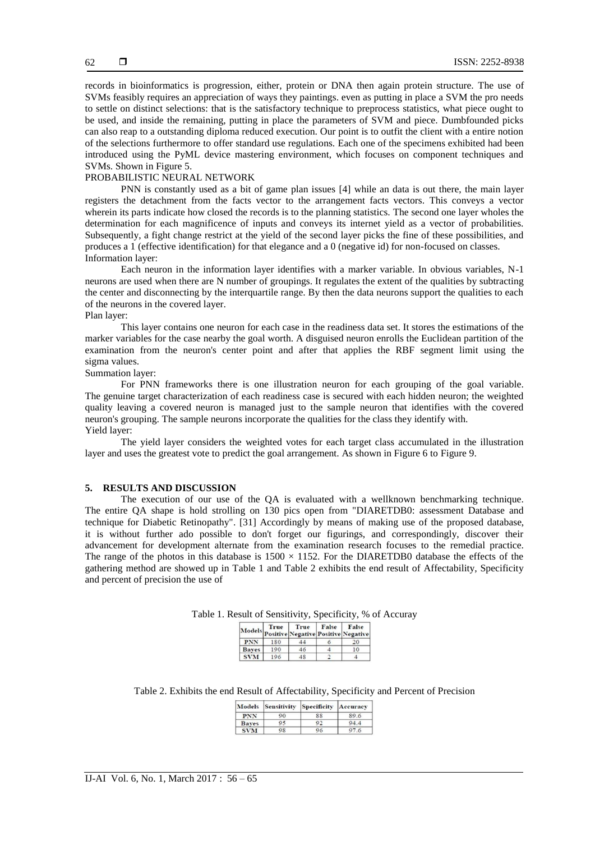records in bioinformatics is progression, either, protein or DNA then again protein structure. The use of SVMs feasibly requires an appreciation of ways they paintings. even as putting in place a SVM the pro needs to settle on distinct selections: that is the satisfactory technique to preprocess statistics, what piece ought to be used, and inside the remaining, putting in place the parameters of SVM and piece. Dumbfounded picks can also reap to a outstanding diploma reduced execution. Our point is to outfit the client with a entire notion of the selections furthermore to offer standard use regulations. Each one of the specimens exhibited had been introduced using the PyML device mastering environment, which focuses on component techniques and SVMs. Shown in Figure 5.

#### PROBABILISTIC NEURAL NETWORK

PNN is constantly used as a bit of game plan issues [4] while an data is out there, the main layer registers the detachment from the facts vector to the arrangement facts vectors. This conveys a vector wherein its parts indicate how closed the records is to the planning statistics. The second one layer wholes the determination for each magnificence of inputs and conveys its internet yield as a vector of probabilities. Subsequently, a fight change restrict at the yield of the second layer picks the fine of these possibilities, and produces a 1 (effective identification) for that elegance and a 0 (negative id) for non-focused on classes. Information layer:

Each neuron in the information layer identifies with a marker variable. In obvious variables, N-1 neurons are used when there are N number of groupings. It regulates the extent of the qualities by subtracting the center and disconnecting by the interquartile range. By then the data neurons support the qualities to each of the neurons in the covered layer.

#### Plan layer:

This layer contains one neuron for each case in the readiness data set. It stores the estimations of the marker variables for the case nearby the goal worth. A disguised neuron enrolls the Euclidean partition of the examination from the neuron's center point and after that applies the RBF segment limit using the sigma values.

Summation layer:

For PNN frameworks there is one illustration neuron for each grouping of the goal variable. The genuine target characterization of each readiness case is secured with each hidden neuron; the weighted quality leaving a covered neuron is managed just to the sample neuron that identifies with the covered neuron's grouping. The sample neurons incorporate the qualities for the class they identify with. Yield layer:

The yield layer considers the weighted votes for each target class accumulated in the illustration layer and uses the greatest vote to predict the goal arrangement. As shown in Figure 6 to Figure 9.

#### **5. RESULTS AND DISCUSSION**

The execution of our use of the QA is evaluated with a wellknown benchmarking technique. The entire QA shape is hold strolling on 130 pics open from "DIARETDB0: assessment Database and technique for Diabetic Retinopathy". [31] Accordingly by means of making use of the proposed database, it is without further ado possible to don't forget our figurings, and correspondingly, discover their advancement for development alternate from the examination research focuses to the remedial practice. The range of the photos in this database is  $1500 \times 1152$ . For the DIARETDB0 database the effects of the gathering method are showed up in Table 1 and Table 2 exhibits the end result of Affectability, Specificity and percent of precision the use of

|              | True | True<br>Models Positive Negative Positive Negative | False | False |
|--------------|------|----------------------------------------------------|-------|-------|
| <b>PNN</b>   | 180  | 44                                                 |       | 20    |
| <b>Baves</b> | 190  | 46                                                 |       | 10    |
|              | 196  |                                                    |       |       |

Table 1. Result of Sensitivity, Specificity, % of Accuray

Table 2. Exhibits the end Result of Affectability, Specificity and Percent of Precision

|              |    | Models Sensitivity Specificity Accuracy |      |
|--------------|----|-----------------------------------------|------|
| <b>PNN</b>   | 90 | 88                                      | 89.6 |
| <b>Baves</b> | 95 | Q <sub>2</sub>                          | 94.4 |
| <b>SVM</b>   | 98 | 96                                      | 97.6 |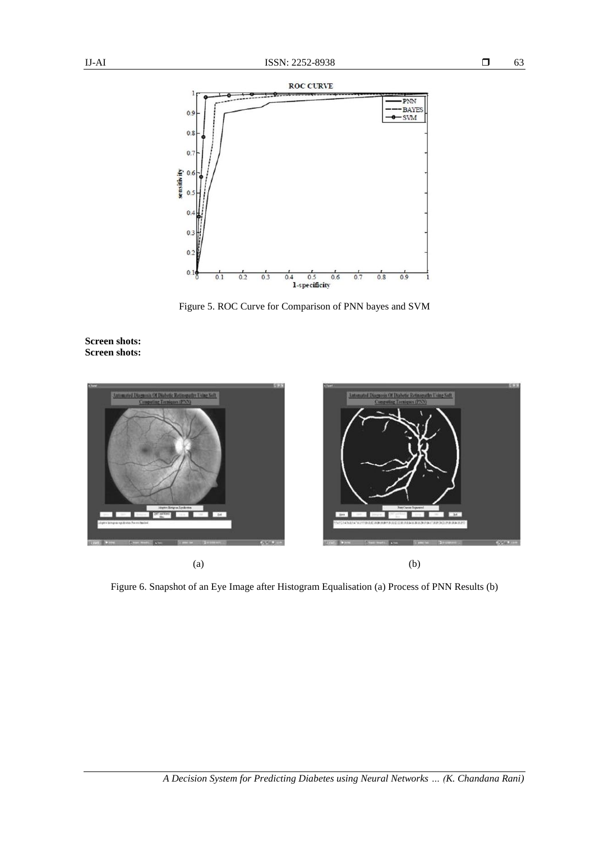

Figure 5. ROC Curve for Comparison of PNN bayes and SVM





Figure 6. Snapshot of an Eye Image after Histogram Equalisation (a) Process of PNN Results (b)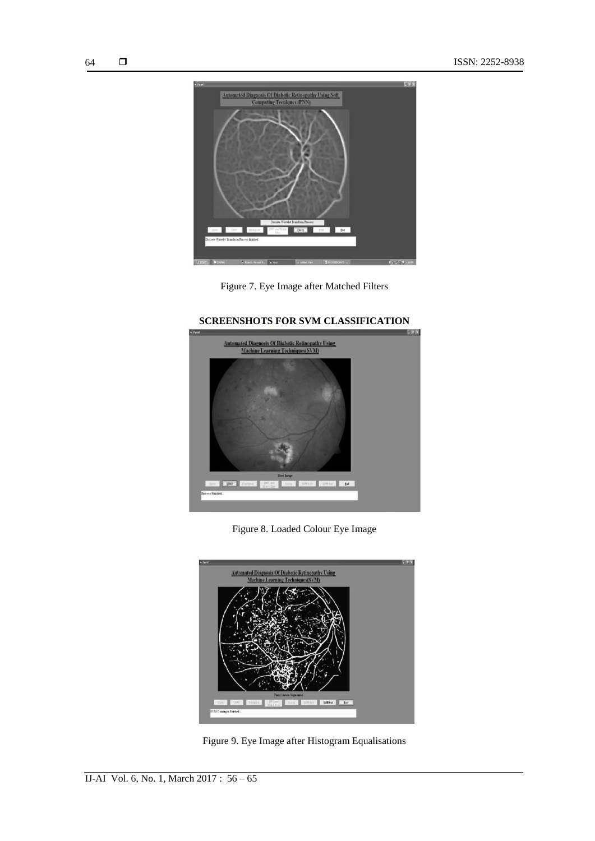





### **SCREENSHOTS FOR SVM CLASSIFICATION**

Figure 8. Loaded Colour Eye Image



Figure 9. Eye Image after Histogram Equalisations